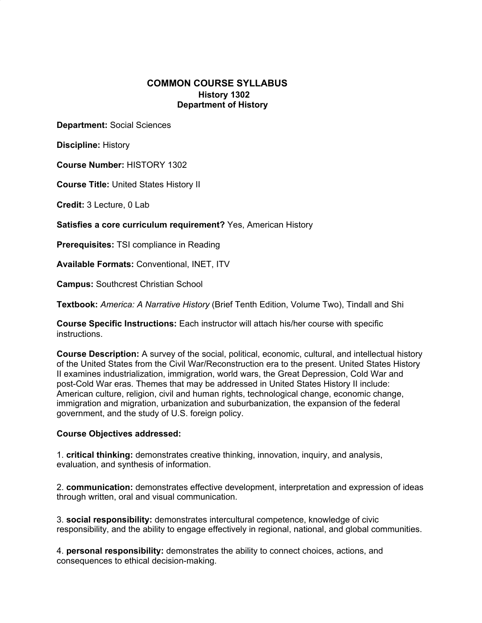# **COMMON COURSE SYLLABUS History 1302 Department of History**

**Department:** Social Sciences

**Discipline:** History

**Course Number:** HISTORY 1302

**Course Title:** United States History II

**Credit:** 3 Lecture, 0 Lab

**Satisfies a core curriculum requirement?** Yes, American History

**Prerequisites:** TSI compliance in Reading

**Available Formats:** Conventional, INET, ITV

**Campus:** Southcrest Christian School

**Textbook:** *America: A Narrative History* (Brief Tenth Edition, Volume Two), Tindall and Shi

**Course Specific Instructions:** Each instructor will attach his/her course with specific instructions.

**Course Description:** A survey of the social, political, economic, cultural, and intellectual history of the United States from the Civil War/Reconstruction era to the present. United States History II examines industrialization, immigration, world wars, the Great Depression, Cold War and post-Cold War eras. Themes that may be addressed in United States History II include: American culture, religion, civil and human rights, technological change, economic change, immigration and migration, urbanization and suburbanization, the expansion of the federal government, and the study of U.S. foreign policy.

#### **Course Objectives addressed:**

1. **critical thinking:** demonstrates creative thinking, innovation, inquiry, and analysis, evaluation, and synthesis of information.

2. **communication:** demonstrates effective development, interpretation and expression of ideas through written, oral and visual communication.

3. **social responsibility:** demonstrates intercultural competence, knowledge of civic responsibility, and the ability to engage effectively in regional, national, and global communities.

4. **personal responsibility:** demonstrates the ability to connect choices, actions, and consequences to ethical decision-making.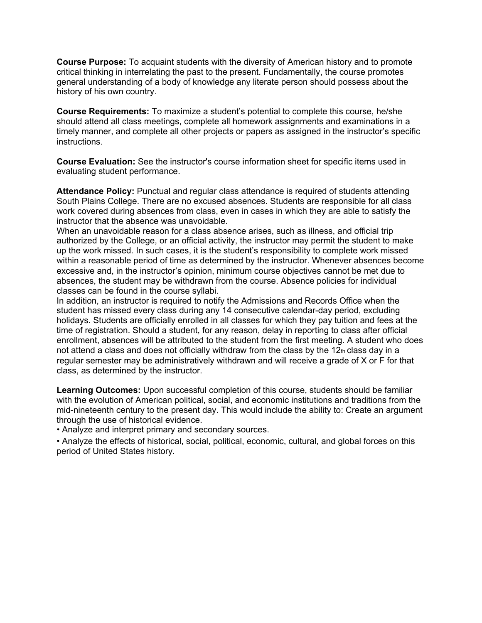**Course Purpose:** To acquaint students with the diversity of American history and to promote critical thinking in interrelating the past to the present. Fundamentally, the course promotes general understanding of a body of knowledge any literate person should possess about the history of his own country.

**Course Requirements:** To maximize a student's potential to complete this course, he/she should attend all class meetings, complete all homework assignments and examinations in a timely manner, and complete all other projects or papers as assigned in the instructor's specific instructions.

**Course Evaluation:** See the instructor's course information sheet for specific items used in evaluating student performance.

**Attendance Policy:** Punctual and regular class attendance is required of students attending South Plains College. There are no excused absences. Students are responsible for all class work covered during absences from class, even in cases in which they are able to satisfy the instructor that the absence was unavoidable.

When an unavoidable reason for a class absence arises, such as illness, and official trip authorized by the College, or an official activity, the instructor may permit the student to make up the work missed. In such cases, it is the student's responsibility to complete work missed within a reasonable period of time as determined by the instructor. Whenever absences become excessive and, in the instructor's opinion, minimum course objectives cannot be met due to absences, the student may be withdrawn from the course. Absence policies for individual classes can be found in the course syllabi.

In addition, an instructor is required to notify the Admissions and Records Office when the student has missed every class during any 14 consecutive calendar-day period, excluding holidays. Students are officially enrolled in all classes for which they pay tuition and fees at the time of registration. Should a student, for any reason, delay in reporting to class after official enrollment, absences will be attributed to the student from the first meeting. A student who does not attend a class and does not officially withdraw from the class by the  $12<sub>th</sub>$  class day in a regular semester may be administratively withdrawn and will receive a grade of X or F for that class, as determined by the instructor.

**Learning Outcomes:** Upon successful completion of this course, students should be familiar with the evolution of American political, social, and economic institutions and traditions from the mid-nineteenth century to the present day. This would include the ability to: Create an argument through the use of historical evidence.

• Analyze and interpret primary and secondary sources.

• Analyze the effects of historical, social, political, economic, cultural, and global forces on this period of United States history.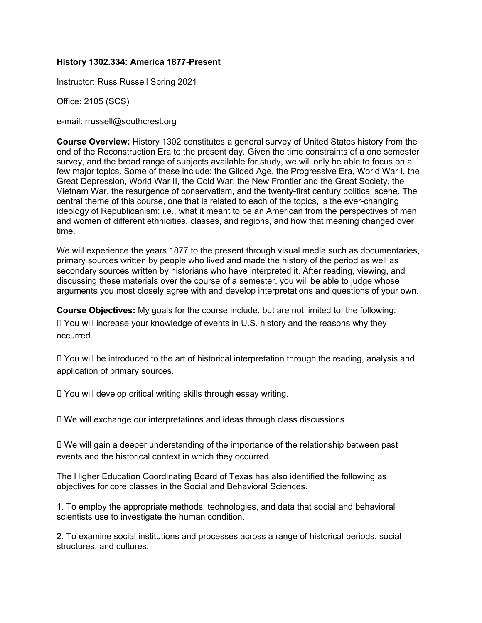### **History 1302.334: America 1877-Present**

Instructor: Russ Russell Spring 2021

Office: 2105 (SCS)

e-mail: rrussell@southcrest.org

**Course Overview:** History 1302 constitutes a general survey of United States history from the end of the Reconstruction Era to the present day. Given the time constraints of a one semester survey, and the broad range of subjects available for study, we will only be able to focus on a few major topics. Some of these include: the Gilded Age, the Progressive Era, World War I, the Great Depression, World War II, the Cold War, the New Frontier and the Great Society, the Vietnam War, the resurgence of conservatism, and the twenty-first century political scene. The central theme of this course, one that is related to each of the topics, is the ever-changing ideology of Republicanism: i.e., what it meant to be an American from the perspectives of men and women of different ethnicities, classes, and regions, and how that meaning changed over time.

We will experience the years 1877 to the present through visual media such as documentaries, primary sources written by people who lived and made the history of the period as well as secondary sources written by historians who have interpreted it. After reading, viewing, and discussing these materials over the course of a semester, you will be able to judge whose arguments you most closely agree with and develop interpretations and questions of your own.

**Course Objectives:** My goals for the course include, but are not limited to, the following:

 You will increase your knowledge of events in U.S. history and the reasons why they occurred.

 You will be introduced to the art of historical interpretation through the reading, analysis and application of primary sources.

You will develop critical writing skills through essay writing.

We will exchange our interpretations and ideas through class discussions.

 We will gain a deeper understanding of the importance of the relationship between past events and the historical context in which they occurred.

The Higher Education Coordinating Board of Texas has also identified the following as objectives for core classes in the Social and Behavioral Sciences.

1. To employ the appropriate methods, technologies, and data that social and behavioral scientists use to investigate the human condition.

2. To examine social institutions and processes across a range of historical periods, social structures, and cultures.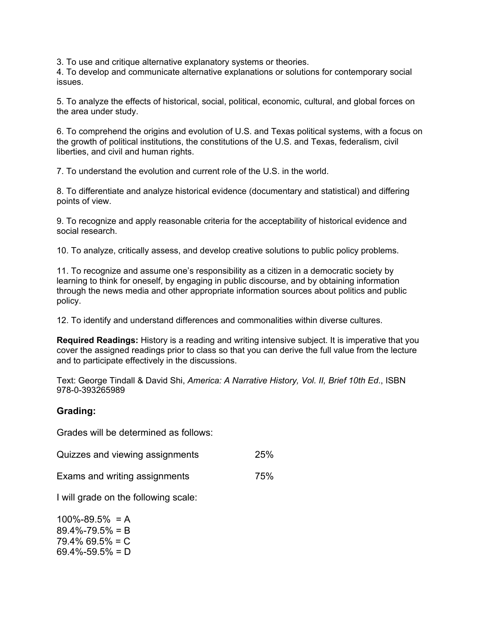3. To use and critique alternative explanatory systems or theories.

4. To develop and communicate alternative explanations or solutions for contemporary social issues.

5. To analyze the effects of historical, social, political, economic, cultural, and global forces on the area under study.

6. To comprehend the origins and evolution of U.S. and Texas political systems, with a focus on the growth of political institutions, the constitutions of the U.S. and Texas, federalism, civil liberties, and civil and human rights.

7. To understand the evolution and current role of the U.S. in the world.

8. To differentiate and analyze historical evidence (documentary and statistical) and differing points of view.

9. To recognize and apply reasonable criteria for the acceptability of historical evidence and social research.

10. To analyze, critically assess, and develop creative solutions to public policy problems.

11. To recognize and assume one's responsibility as a citizen in a democratic society by learning to think for oneself, by engaging in public discourse, and by obtaining information through the news media and other appropriate information sources about politics and public policy.

12. To identify and understand differences and commonalities within diverse cultures.

**Required Readings:** History is a reading and writing intensive subject. It is imperative that you cover the assigned readings prior to class so that you can derive the full value from the lecture and to participate effectively in the discussions.

Text: George Tindall & David Shi, *America: A Narrative History, Vol. II, Brief 10th Ed*., ISBN 978-0-393265989

# **Grading:**

Grades will be determined as follows:

| Quizzes and viewing assignments | 25% |
|---------------------------------|-----|
|---------------------------------|-----|

Exams and writing assignments 75%

I will grade on the following scale:

 $100\% - 89.5\% = A$ 89.4%-79.5% = B 79.4% 69.5% = C  $69.4\% - 59.5\% = D$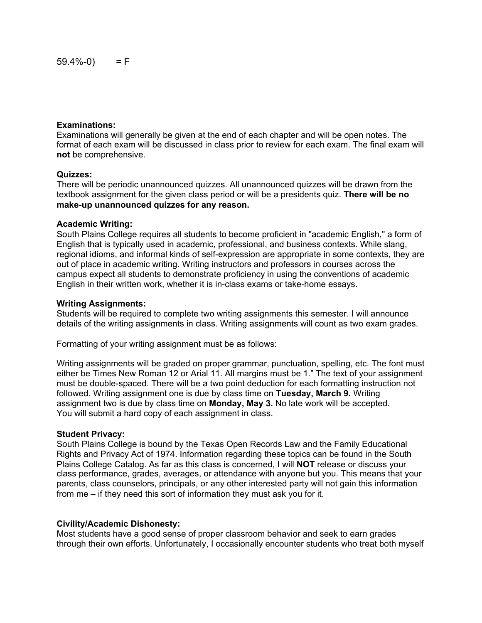#### **Examinations:**

Examinations will generally be given at the end of each chapter and will be open notes. The format of each exam will be discussed in class prior to review for each exam. The final exam will **not** be comprehensive.

### **Quizzes:**

There will be periodic unannounced quizzes. All unannounced quizzes will be drawn from the textbook assignment for the given class period or will be a presidents quiz. **There will be no make-up unannounced quizzes for any reason.**

#### **Academic Writing:**

South Plains College requires all students to become proficient in "academic English," a form of English that is typically used in academic, professional, and business contexts. While slang, regional idioms, and informal kinds of self-expression are appropriate in some contexts, they are out of place in academic writing. Writing instructors and professors in courses across the campus expect all students to demonstrate proficiency in using the conventions of academic English in their written work, whether it is in-class exams or take-home essays.

#### **Writing Assignments:**

Students will be required to complete two writing assignments this semester. I will announce details of the writing assignments in class. Writing assignments will count as two exam grades.

Formatting of your writing assignment must be as follows:

Writing assignments will be graded on proper grammar, punctuation, spelling, etc. The font must either be Times New Roman 12 or Arial 11. All margins must be 1." The text of your assignment must be double-spaced. There will be a two point deduction for each formatting instruction not followed. Writing assignment one is due by class time on **Tuesday, March 9.** Writing assignment two is due by class time on **Monday, May 3.** No late work will be accepted. You will submit a hard copy of each assignment in class.

#### **Student Privacy:**

South Plains College is bound by the Texas Open Records Law and the Family Educational Rights and Privacy Act of 1974. Information regarding these topics can be found in the South Plains College Catalog. As far as this class is concerned, I will **NOT** release or discuss your class performance, grades, averages, or attendance with anyone but you. This means that your parents, class counselors, principals, or any other interested party will not gain this information from me – if they need this sort of information they must ask you for it.

## **Civility/Academic Dishonesty:**

Most students have a good sense of proper classroom behavior and seek to earn grades through their own efforts. Unfortunately, I occasionally encounter students who treat both myself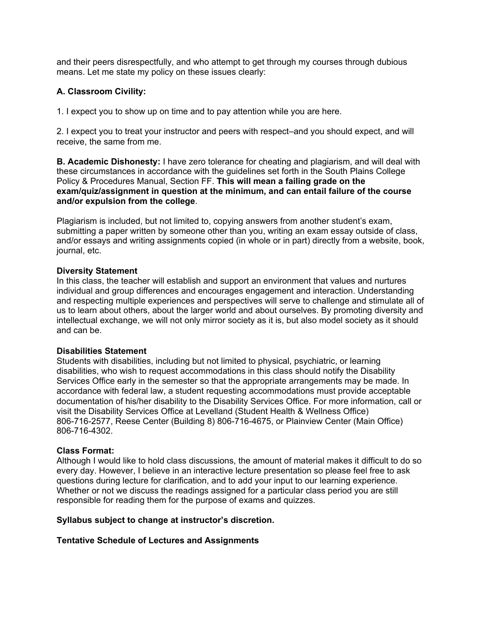and their peers disrespectfully, and who attempt to get through my courses through dubious means. Let me state my policy on these issues clearly:

# **A. Classroom Civility:**

1. I expect you to show up on time and to pay attention while you are here.

2. I expect you to treat your instructor and peers with respect–and you should expect, and will receive, the same from me.

**B. Academic Dishonesty:** I have zero tolerance for cheating and plagiarism, and will deal with these circumstances in accordance with the guidelines set forth in the South Plains College Policy & Procedures Manual, Section FF. **This will mean a failing grade on the exam/quiz/assignment in question at the minimum, and can entail failure of the course and/or expulsion from the college**.

Plagiarism is included, but not limited to, copying answers from another student's exam, submitting a paper written by someone other than you, writing an exam essay outside of class, and/or essays and writing assignments copied (in whole or in part) directly from a website, book, journal, etc.

### **Diversity Statement**

In this class, the teacher will establish and support an environment that values and nurtures individual and group differences and encourages engagement and interaction. Understanding and respecting multiple experiences and perspectives will serve to challenge and stimulate all of us to learn about others, about the larger world and about ourselves. By promoting diversity and intellectual exchange, we will not only mirror society as it is, but also model society as it should and can be.

#### **Disabilities Statement**

Students with disabilities, including but not limited to physical, psychiatric, or learning disabilities, who wish to request accommodations in this class should notify the Disability Services Office early in the semester so that the appropriate arrangements may be made. In accordance with federal law, a student requesting accommodations must provide acceptable documentation of his/her disability to the Disability Services Office. For more information, call or visit the Disability Services Office at Levelland (Student Health & Wellness Office) 806-716-2577, Reese Center (Building 8) 806-716-4675, or Plainview Center (Main Office) 806-716-4302.

#### **Class Format:**

Although I would like to hold class discussions, the amount of material makes it difficult to do so every day. However, I believe in an interactive lecture presentation so please feel free to ask questions during lecture for clarification, and to add your input to our learning experience. Whether or not we discuss the readings assigned for a particular class period you are still responsible for reading them for the purpose of exams and quizzes.

#### **Syllabus subject to change at instructor's discretion.**

## **Tentative Schedule of Lectures and Assignments**